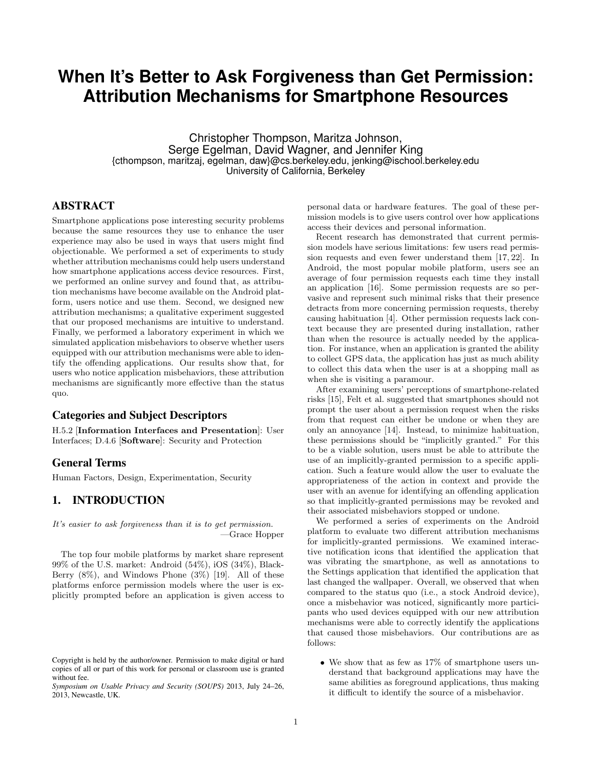# **When It's Better to Ask Forgiveness than Get Permission: Attribution Mechanisms for Smartphone Resources**

Christopher Thompson, Maritza Johnson, Serge Egelman, David Wagner, and Jennifer King {cthompson, maritzaj, egelman, daw}@cs.berkeley.edu, jenking@ischool.berkeley.edu University of California, Berkeley

# ABSTRACT

Smartphone applications pose interesting security problems because the same resources they use to enhance the user experience may also be used in ways that users might find objectionable. We performed a set of experiments to study whether attribution mechanisms could help users understand how smartphone applications access device resources. First, we performed an online survey and found that, as attribution mechanisms have become available on the Android platform, users notice and use them. Second, we designed new attribution mechanisms; a qualitative experiment suggested that our proposed mechanisms are intuitive to understand. Finally, we performed a laboratory experiment in which we simulated application misbehaviors to observe whether users equipped with our attribution mechanisms were able to identify the offending applications. Our results show that, for users who notice application misbehaviors, these attribution mechanisms are significantly more effective than the status quo.

## Categories and Subject Descriptors

H.5.2 [Information Interfaces and Presentation]: User Interfaces; D.4.6 [Software]: Security and Protection

## General Terms

Human Factors, Design, Experimentation, Security

## 1. INTRODUCTION

It's easier to ask forgiveness than it is to get permission. —Grace Hopper

The top four mobile platforms by market share represent 99% of the U.S. market: Android (54%), iOS (34%), Black-Berry  $(8\%)$ , and Windows Phone  $(3\%)$  [19]. All of these platforms enforce permission models where the user is explicitly prompted before an application is given access to personal data or hardware features. The goal of these permission models is to give users control over how applications access their devices and personal information.

Recent research has demonstrated that current permission models have serious limitations: few users read permission requests and even fewer understand them [17, 22]. In Android, the most popular mobile platform, users see an average of four permission requests each time they install an application [16]. Some permission requests are so pervasive and represent such minimal risks that their presence detracts from more concerning permission requests, thereby causing habituation [4]. Other permission requests lack context because they are presented during installation, rather than when the resource is actually needed by the application. For instance, when an application is granted the ability to collect GPS data, the application has just as much ability to collect this data when the user is at a shopping mall as when she is visiting a paramour.

After examining users' perceptions of smartphone-related risks [15], Felt et al. suggested that smartphones should not prompt the user about a permission request when the risks from that request can either be undone or when they are only an annoyance [14]. Instead, to minimize habituation, these permissions should be "implicitly granted." For this to be a viable solution, users must be able to attribute the use of an implicitly-granted permission to a specific application. Such a feature would allow the user to evaluate the appropriateness of the action in context and provide the user with an avenue for identifying an offending application so that implicitly-granted permissions may be revoked and their associated misbehaviors stopped or undone.

We performed a series of experiments on the Android platform to evaluate two different attribution mechanisms for implicitly-granted permissions. We examined interactive notification icons that identified the application that was vibrating the smartphone, as well as annotations to the Settings application that identified the application that last changed the wallpaper. Overall, we observed that when compared to the status quo (i.e., a stock Android device), once a misbehavior was noticed, significantly more participants who used devices equipped with our new attribution mechanisms were able to correctly identify the applications that caused those misbehaviors. Our contributions are as follows:

• We show that as few as 17% of smartphone users understand that background applications may have the same abilities as foreground applications, thus making it difficult to identify the source of a misbehavior.

Copyright is held by the author/owner. Permission to make digital or hard copies of all or part of this work for personal or classroom use is granted without fee.

*Symposium on Usable Privacy and Security (SOUPS)* 2013, July 24–26, 2013, Newcastle, UK.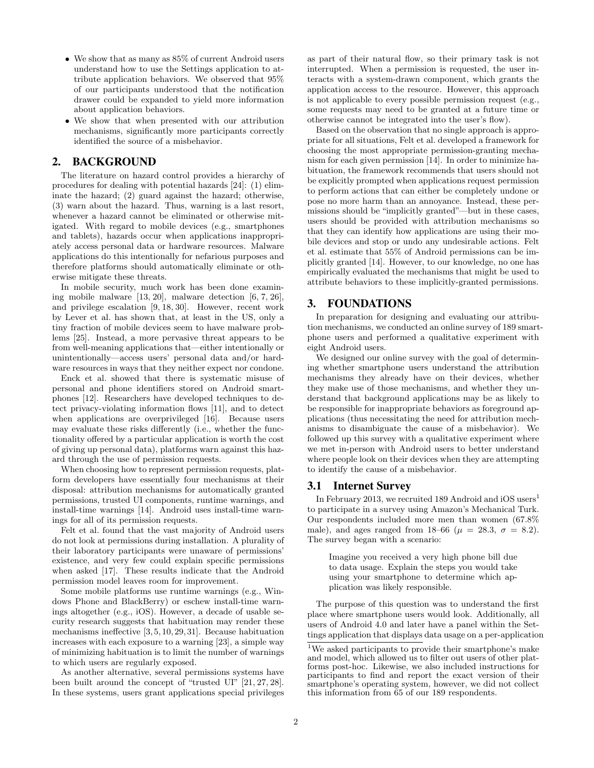- We show that as many as 85% of current Android users understand how to use the Settings application to attribute application behaviors. We observed that 95% of our participants understood that the notification drawer could be expanded to yield more information about application behaviors.
- We show that when presented with our attribution mechanisms, significantly more participants correctly identified the source of a misbehavior.

## 2. BACKGROUND

The literature on hazard control provides a hierarchy of procedures for dealing with potential hazards [24]: (1) eliminate the hazard; (2) guard against the hazard; otherwise, (3) warn about the hazard. Thus, warning is a last resort, whenever a hazard cannot be eliminated or otherwise mitigated. With regard to mobile devices (e.g., smartphones and tablets), hazards occur when applications inappropriately access personal data or hardware resources. Malware applications do this intentionally for nefarious purposes and therefore platforms should automatically eliminate or otherwise mitigate these threats.

In mobile security, much work has been done examining mobile malware [13, 20], malware detection [6, 7, 26], and privilege escalation [9, 18, 30]. However, recent work by Lever et al. has shown that, at least in the US, only a tiny fraction of mobile devices seem to have malware problems [25]. Instead, a more pervasive threat appears to be from well-meaning applications that—either intentionally or unintentionally—access users' personal data and/or hardware resources in ways that they neither expect nor condone.

Enck et al. showed that there is systematic misuse of personal and phone identifiers stored on Android smartphones [12]. Researchers have developed techniques to detect privacy-violating information flows [11], and to detect when applications are overprivileged [16]. Because users may evaluate these risks differently (i.e., whether the functionality offered by a particular application is worth the cost of giving up personal data), platforms warn against this hazard through the use of permission requests.

When choosing how to represent permission requests, platform developers have essentially four mechanisms at their disposal: attribution mechanisms for automatically granted permissions, trusted UI components, runtime warnings, and install-time warnings [14]. Android uses install-time warnings for all of its permission requests.

Felt et al. found that the vast majority of Android users do not look at permissions during installation. A plurality of their laboratory participants were unaware of permissions' existence, and very few could explain specific permissions when asked [17]. These results indicate that the Android permission model leaves room for improvement.

Some mobile platforms use runtime warnings (e.g., Windows Phone and BlackBerry) or eschew install-time warnings altogether (e.g., iOS). However, a decade of usable security research suggests that habituation may render these mechanisms ineffective [3, 5, 10, 29, 31]. Because habituation increases with each exposure to a warning [23], a simple way of minimizing habituation is to limit the number of warnings to which users are regularly exposed.

As another alternative, several permissions systems have been built around the concept of "trusted UI" [21, 27, 28]. In these systems, users grant applications special privileges as part of their natural flow, so their primary task is not interrupted. When a permission is requested, the user interacts with a system-drawn component, which grants the application access to the resource. However, this approach is not applicable to every possible permission request (e.g., some requests may need to be granted at a future time or otherwise cannot be integrated into the user's flow).

Based on the observation that no single approach is appropriate for all situations, Felt et al. developed a framework for choosing the most appropriate permission-granting mechanism for each given permission [14]. In order to minimize habituation, the framework recommends that users should not be explicitly prompted when applications request permission to perform actions that can either be completely undone or pose no more harm than an annoyance. Instead, these permissions should be "implicitly granted"—but in these cases, users should be provided with attribution mechanisms so that they can identify how applications are using their mobile devices and stop or undo any undesirable actions. Felt et al. estimate that 55% of Android permissions can be implicitly granted [14]. However, to our knowledge, no one has empirically evaluated the mechanisms that might be used to attribute behaviors to these implicitly-granted permissions.

# 3. FOUNDATIONS

In preparation for designing and evaluating our attribution mechanisms, we conducted an online survey of 189 smartphone users and performed a qualitative experiment with eight Android users.

We designed our online survey with the goal of determining whether smartphone users understand the attribution mechanisms they already have on their devices, whether they make use of those mechanisms, and whether they understand that background applications may be as likely to be responsible for inappropriate behaviors as foreground applications (thus necessitating the need for attribution mechanisms to disambiguate the cause of a misbehavior). We followed up this survey with a qualitative experiment where we met in-person with Android users to better understand where people look on their devices when they are attempting to identify the cause of a misbehavior.

#### 3.1 Internet Survey

In February 2013, we recruited 189 Android and  $\text{IOS}$  users<sup>1</sup> to participate in a survey using Amazon's Mechanical Turk. Our respondents included more men than women (67.8% male), and ages ranged from 18–66 ( $\mu = 28.3$ ,  $\sigma = 8.2$ ). The survey began with a scenario:

Imagine you received a very high phone bill due to data usage. Explain the steps you would take using your smartphone to determine which application was likely responsible.

The purpose of this question was to understand the first place where smartphone users would look. Additionally, all users of Android 4.0 and later have a panel within the Settings application that displays data usage on a per-application

<sup>1</sup>We asked participants to provide their smartphone's make and model, which allowed us to filter out users of other platforms post-hoc. Likewise, we also included instructions for participants to find and report the exact version of their smartphone's operating system, however, we did not collect this information from 65 of our 189 respondents.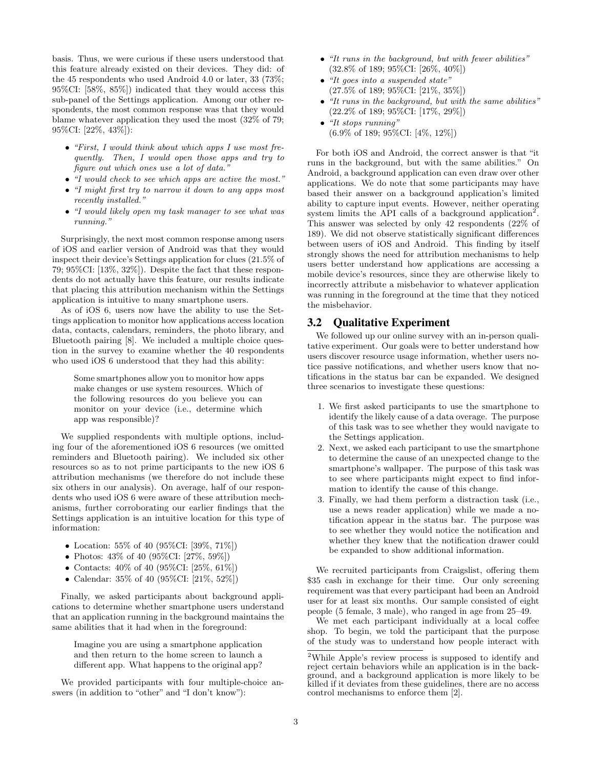basis. Thus, we were curious if these users understood that this feature already existed on their devices. They did: of the 45 respondents who used Android 4.0 or later, 33 (73%; 95%CI: [58%, 85%]) indicated that they would access this sub-panel of the Settings application. Among our other respondents, the most common response was that they would blame whatever application they used the most (32% of 79; 95%CI: [22%, 43%]):

- "First, I would think about which apps I use most frequently. Then, I would open those apps and try to figure out which ones use a lot of data."
- "I would check to see which apps are active the most."
- "I might first try to narrow it down to any apps most recently installed."
- "I would likely open my task manager to see what was running."

Surprisingly, the next most common response among users of iOS and earlier version of Android was that they would inspect their device's Settings application for clues (21.5% of 79; 95%CI: [13%, 32%]). Despite the fact that these respondents do not actually have this feature, our results indicate that placing this attribution mechanism within the Settings application is intuitive to many smartphone users.

As of iOS 6, users now have the ability to use the Settings application to monitor how applications access location data, contacts, calendars, reminders, the photo library, and Bluetooth pairing [8]. We included a multiple choice question in the survey to examine whether the 40 respondents who used iOS 6 understood that they had this ability:

Some smartphones allow you to monitor how apps make changes or use system resources. Which of the following resources do you believe you can monitor on your device (i.e., determine which app was responsible)?

We supplied respondents with multiple options, including four of the aforementioned iOS 6 resources (we omitted reminders and Bluetooth pairing). We included six other resources so as to not prime participants to the new iOS 6 attribution mechanisms (we therefore do not include these six others in our analysis). On average, half of our respondents who used iOS 6 were aware of these attribution mechanisms, further corroborating our earlier findings that the Settings application is an intuitive location for this type of information:

- Location: 55% of 40 (95%CI: [39%, 71%])
- Photos: 43% of 40 (95%CI: [27%, 59%])
- Contacts:  $40\%$  of  $40$  (95%CI: [25%, 61%])
- Calendar: 35% of 40 (95%CI: [21%, 52%])

Finally, we asked participants about background applications to determine whether smartphone users understand that an application running in the background maintains the same abilities that it had when in the foreground:

Imagine you are using a smartphone application and then return to the home screen to launch a different app. What happens to the original app?

We provided participants with four multiple-choice answers (in addition to "other" and "I don't know"):

- "It runs in the background, but with fewer abilities" (32.8% of 189; 95%CI: [26%, 40%])
- "It goes into a suspended state" (27.5% of 189; 95%CI: [21%, 35%])
- "It runs in the background, but with the same abilities" (22.2% of 189; 95%CI: [17%, 29%])
- "It stops running" (6.9% of 189; 95%CI: [4%, 12%])

For both iOS and Android, the correct answer is that "it runs in the background, but with the same abilities." On Android, a background application can even draw over other applications. We do note that some participants may have based their answer on a background application's limited ability to capture input events. However, neither operating system limits the API calls of a background application<sup>2</sup>. This answer was selected by only 42 respondents (22% of 189). We did not observe statistically significant differences between users of iOS and Android. This finding by itself strongly shows the need for attribution mechanisms to help users better understand how applications are accessing a mobile device's resources, since they are otherwise likely to incorrectly attribute a misbehavior to whatever application was running in the foreground at the time that they noticed the misbehavior.

#### 3.2 Qualitative Experiment

We followed up our online survey with an in-person qualitative experiment. Our goals were to better understand how users discover resource usage information, whether users notice passive notifications, and whether users know that notifications in the status bar can be expanded. We designed three scenarios to investigate these questions:

- 1. We first asked participants to use the smartphone to identify the likely cause of a data overage. The purpose of this task was to see whether they would navigate to the Settings application.
- 2. Next, we asked each participant to use the smartphone to determine the cause of an unexpected change to the smartphone's wallpaper. The purpose of this task was to see where participants might expect to find information to identify the cause of this change.
- 3. Finally, we had them perform a distraction task (i.e., use a news reader application) while we made a notification appear in the status bar. The purpose was to see whether they would notice the notification and whether they knew that the notification drawer could be expanded to show additional information.

We recruited participants from Craigslist, offering them \$35 cash in exchange for their time. Our only screening requirement was that every participant had been an Android user for at least six months. Our sample consisted of eight people (5 female, 3 male), who ranged in age from 25–49.

We met each participant individually at a local coffee shop. To begin, we told the participant that the purpose of the study was to understand how people interact with

<sup>2</sup>While Apple's review process is supposed to identify and reject certain behaviors while an application is in the background, and a background application is more likely to be killed if it deviates from these guidelines, there are no access control mechanisms to enforce them [2].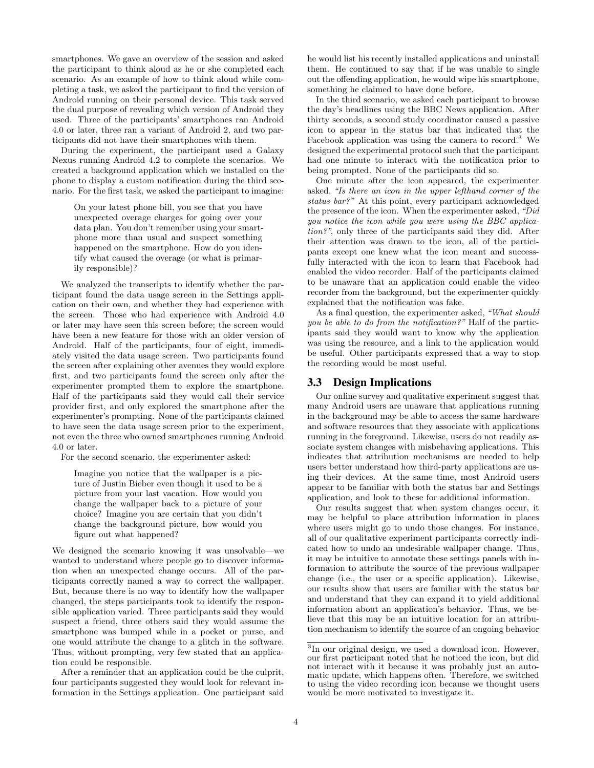smartphones. We gave an overview of the session and asked the participant to think aloud as he or she completed each scenario. As an example of how to think aloud while completing a task, we asked the participant to find the version of Android running on their personal device. This task served the dual purpose of revealing which version of Android they used. Three of the participants' smartphones ran Android 4.0 or later, three ran a variant of Android 2, and two participants did not have their smartphones with them.

During the experiment, the participant used a Galaxy Nexus running Android 4.2 to complete the scenarios. We created a background application which we installed on the phone to display a custom notification during the third scenario. For the first task, we asked the participant to imagine:

On your latest phone bill, you see that you have unexpected overage charges for going over your data plan. You don't remember using your smartphone more than usual and suspect something happened on the smartphone. How do you identify what caused the overage (or what is primarily responsible)?

We analyzed the transcripts to identify whether the participant found the data usage screen in the Settings application on their own, and whether they had experience with the screen. Those who had experience with Android 4.0 or later may have seen this screen before; the screen would have been a new feature for those with an older version of Android. Half of the participants, four of eight, immediately visited the data usage screen. Two participants found the screen after explaining other avenues they would explore first, and two participants found the screen only after the experimenter prompted them to explore the smartphone. Half of the participants said they would call their service provider first, and only explored the smartphone after the experimenter's prompting. None of the participants claimed to have seen the data usage screen prior to the experiment, not even the three who owned smartphones running Android 4.0 or later.

For the second scenario, the experimenter asked:

Imagine you notice that the wallpaper is a picture of Justin Bieber even though it used to be a picture from your last vacation. How would you change the wallpaper back to a picture of your choice? Imagine you are certain that you didn't change the background picture, how would you figure out what happened?

We designed the scenario knowing it was unsolvable—we wanted to understand where people go to discover information when an unexpected change occurs. All of the participants correctly named a way to correct the wallpaper. But, because there is no way to identify how the wallpaper changed, the steps participants took to identify the responsible application varied. Three participants said they would suspect a friend, three others said they would assume the smartphone was bumped while in a pocket or purse, and one would attribute the change to a glitch in the software. Thus, without prompting, very few stated that an application could be responsible.

After a reminder that an application could be the culprit, four participants suggested they would look for relevant information in the Settings application. One participant said he would list his recently installed applications and uninstall them. He continued to say that if he was unable to single out the offending application, he would wipe his smartphone, something he claimed to have done before.

In the third scenario, we asked each participant to browse the day's headlines using the BBC News application. After thirty seconds, a second study coordinator caused a passive icon to appear in the status bar that indicated that the Facebook application was using the camera to record.<sup>3</sup> We designed the experimental protocol such that the participant had one minute to interact with the notification prior to being prompted. None of the participants did so.

One minute after the icon appeared, the experimenter asked, "Is there an icon in the upper lefthand corner of the status bar?" At this point, every participant acknowledged the presence of the icon. When the experimenter asked, "Did you notice the icon while you were using the BBC application?", only three of the participants said they did. After their attention was drawn to the icon, all of the participants except one knew what the icon meant and successfully interacted with the icon to learn that Facebook had enabled the video recorder. Half of the participants claimed to be unaware that an application could enable the video recorder from the background, but the experimenter quickly explained that the notification was fake.

As a final question, the experimenter asked, "What should you be able to do from the notification?" Half of the participants said they would want to know why the application was using the resource, and a link to the application would be useful. Other participants expressed that a way to stop the recording would be most useful.

## 3.3 Design Implications

Our online survey and qualitative experiment suggest that many Android users are unaware that applications running in the background may be able to access the same hardware and software resources that they associate with applications running in the foreground. Likewise, users do not readily associate system changes with misbehaving applications. This indicates that attribution mechanisms are needed to help users better understand how third-party applications are using their devices. At the same time, most Android users appear to be familiar with both the status bar and Settings application, and look to these for additional information.

Our results suggest that when system changes occur, it may be helpful to place attribution information in places where users might go to undo those changes. For instance, all of our qualitative experiment participants correctly indicated how to undo an undesirable wallpaper change. Thus, it may be intuitive to annotate these settings panels with information to attribute the source of the previous wallpaper change (i.e., the user or a specific application). Likewise, our results show that users are familiar with the status bar and understand that they can expand it to yield additional information about an application's behavior. Thus, we believe that this may be an intuitive location for an attribution mechanism to identify the source of an ongoing behavior

<sup>&</sup>lt;sup>3</sup>In our original design, we used a download icon. However, our first participant noted that he noticed the icon, but did not interact with it because it was probably just an automatic update, which happens often. Therefore, we switched to using the video recording icon because we thought users would be more motivated to investigate it.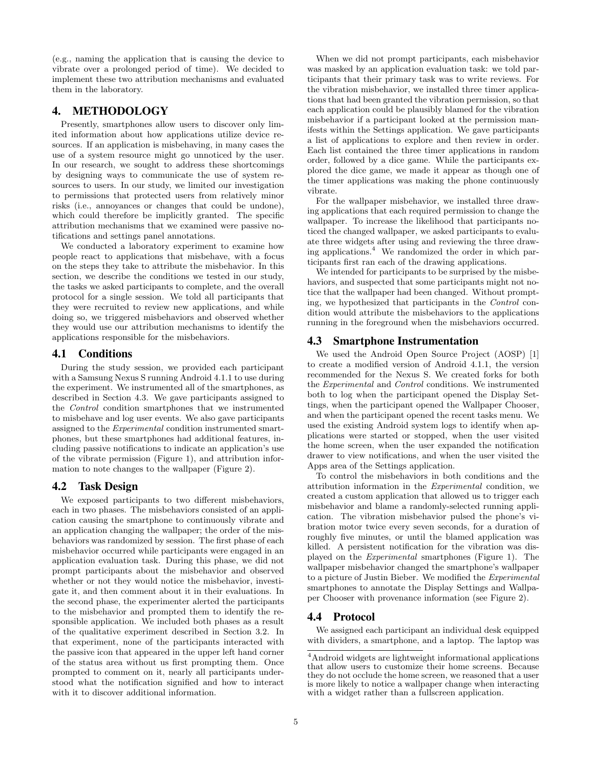(e.g., naming the application that is causing the device to vibrate over a prolonged period of time). We decided to implement these two attribution mechanisms and evaluated them in the laboratory.

# 4. METHODOLOGY

Presently, smartphones allow users to discover only limited information about how applications utilize device resources. If an application is misbehaving, in many cases the use of a system resource might go unnoticed by the user. In our research, we sought to address these shortcomings by designing ways to communicate the use of system resources to users. In our study, we limited our investigation to permissions that protected users from relatively minor risks (i.e., annoyances or changes that could be undone), which could therefore be implicitly granted. The specific attribution mechanisms that we examined were passive notifications and settings panel annotations.

We conducted a laboratory experiment to examine how people react to applications that misbehave, with a focus on the steps they take to attribute the misbehavior. In this section, we describe the conditions we tested in our study, the tasks we asked participants to complete, and the overall protocol for a single session. We told all participants that they were recruited to review new applications, and while doing so, we triggered misbehaviors and observed whether they would use our attribution mechanisms to identify the applications responsible for the misbehaviors.

#### 4.1 Conditions

During the study session, we provided each participant with a Samsung Nexus S running Android 4.1.1 to use during the experiment. We instrumented all of the smartphones, as described in Section 4.3. We gave participants assigned to the Control condition smartphones that we instrumented to misbehave and log user events. We also gave participants assigned to the Experimental condition instrumented smartphones, but these smartphones had additional features, including passive notifications to indicate an application's use of the vibrate permission (Figure 1), and attribution information to note changes to the wallpaper (Figure 2).

#### 4.2 Task Design

We exposed participants to two different misbehaviors, each in two phases. The misbehaviors consisted of an application causing the smartphone to continuously vibrate and an application changing the wallpaper; the order of the misbehaviors was randomized by session. The first phase of each misbehavior occurred while participants were engaged in an application evaluation task. During this phase, we did not prompt participants about the misbehavior and observed whether or not they would notice the misbehavior, investigate it, and then comment about it in their evaluations. In the second phase, the experimenter alerted the participants to the misbehavior and prompted them to identify the responsible application. We included both phases as a result of the qualitative experiment described in Section 3.2. In that experiment, none of the participants interacted with the passive icon that appeared in the upper left hand corner of the status area without us first prompting them. Once prompted to comment on it, nearly all participants understood what the notification signified and how to interact with it to discover additional information.

When we did not prompt participants, each misbehavior was masked by an application evaluation task: we told participants that their primary task was to write reviews. For the vibration misbehavior, we installed three timer applications that had been granted the vibration permission, so that each application could be plausibly blamed for the vibration misbehavior if a participant looked at the permission manifests within the Settings application. We gave participants a list of applications to explore and then review in order. Each list contained the three timer applications in random order, followed by a dice game. While the participants explored the dice game, we made it appear as though one of the timer applications was making the phone continuously vibrate.

For the wallpaper misbehavior, we installed three drawing applications that each required permission to change the wallpaper. To increase the likelihood that participants noticed the changed wallpaper, we asked participants to evaluate three widgets after using and reviewing the three drawing applications.<sup>4</sup> We randomized the order in which participants first ran each of the drawing applications.

We intended for participants to be surprised by the misbehaviors, and suspected that some participants might not notice that the wallpaper had been changed. Without prompting, we hypothesized that participants in the Control condition would attribute the misbehaviors to the applications running in the foreground when the misbehaviors occurred.

## 4.3 Smartphone Instrumentation

We used the Android Open Source Project (AOSP) [1] to create a modified version of Android 4.1.1, the version recommended for the Nexus S. We created forks for both the Experimental and Control conditions. We instrumented both to log when the participant opened the Display Settings, when the participant opened the Wallpaper Chooser, and when the participant opened the recent tasks menu. We used the existing Android system logs to identify when applications were started or stopped, when the user visited the home screen, when the user expanded the notification drawer to view notifications, and when the user visited the Apps area of the Settings application.

To control the misbehaviors in both conditions and the attribution information in the Experimental condition, we created a custom application that allowed us to trigger each misbehavior and blame a randomly-selected running application. The vibration misbehavior pulsed the phone's vibration motor twice every seven seconds, for a duration of roughly five minutes, or until the blamed application was killed. A persistent notification for the vibration was displayed on the Experimental smartphones (Figure 1). The wallpaper misbehavior changed the smartphone's wallpaper to a picture of Justin Bieber. We modified the Experimental smartphones to annotate the Display Settings and Wallpaper Chooser with provenance information (see Figure 2).

## 4.4 Protocol

We assigned each participant an individual desk equipped with dividers, a smartphone, and a laptop. The laptop was

<sup>4</sup>Android widgets are lightweight informational applications that allow users to customize their home screens. Because they do not occlude the home screen, we reasoned that a user is more likely to notice a wallpaper change when interacting with a widget rather than a fullscreen application.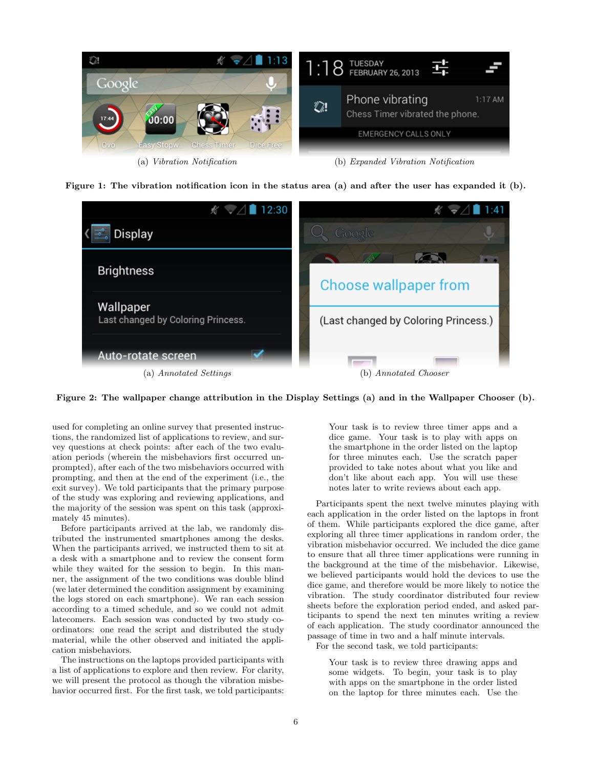

Figure 1: The vibration notification icon in the status area (a) and after the user has expanded it (b).



Figure 2: The wallpaper change attribution in the Display Settings (a) and in the Wallpaper Chooser (b).

used for completing an online survey that presented instructions, the randomized list of applications to review, and survey questions at check points: after each of the two evaluation periods (wherein the misbehaviors first occurred unprompted), after each of the two misbehaviors occurred with prompting, and then at the end of the experiment (i.e., the exit survey). We told participants that the primary purpose of the study was exploring and reviewing applications, and the majority of the session was spent on this task (approximately 45 minutes).

Before participants arrived at the lab, we randomly distributed the instrumented smartphones among the desks. When the participants arrived, we instructed them to sit at a desk with a smartphone and to review the consent form while they waited for the session to begin. In this manner, the assignment of the two conditions was double blind (we later determined the condition assignment by examining the logs stored on each smartphone). We ran each session according to a timed schedule, and so we could not admit latecomers. Each session was conducted by two study coordinators: one read the script and distributed the study material, while the other observed and initiated the application misbehaviors.

The instructions on the laptops provided participants with a list of applications to explore and then review. For clarity, we will present the protocol as though the vibration misbehavior occurred first. For the first task, we told participants: Your task is to review three timer apps and a dice game. Your task is to play with apps on the smartphone in the order listed on the laptop for three minutes each. Use the scratch paper provided to take notes about what you like and don't like about each app. You will use these notes later to write reviews about each app.

Participants spent the next twelve minutes playing with each application in the order listed on the laptops in front of them. While participants explored the dice game, after exploring all three timer applications in random order, the vibration misbehavior occurred. We included the dice game to ensure that all three timer applications were running in the background at the time of the misbehavior. Likewise, we believed participants would hold the devices to use the dice game, and therefore would be more likely to notice the vibration. The study coordinator distributed four review sheets before the exploration period ended, and asked participants to spend the next ten minutes writing a review of each application. The study coordinator announced the passage of time in two and a half minute intervals.

For the second task, we told participants:

Your task is to review three drawing apps and some widgets. To begin, your task is to play with apps on the smartphone in the order listed on the laptop for three minutes each. Use the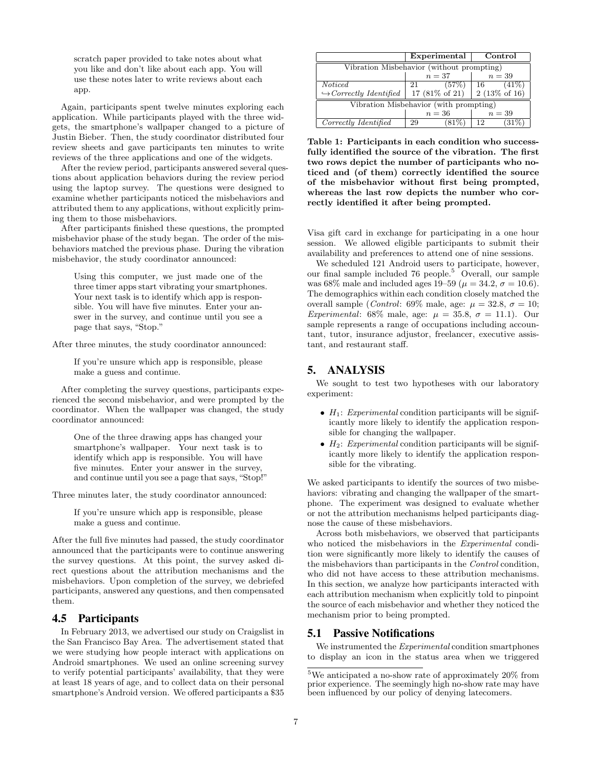scratch paper provided to take notes about what you like and don't like about each app. You will use these notes later to write reviews about each app.

Again, participants spent twelve minutes exploring each application. While participants played with the three widgets, the smartphone's wallpaper changed to a picture of Justin Bieber. Then, the study coordinator distributed four review sheets and gave participants ten minutes to write reviews of the three applications and one of the widgets.

After the review period, participants answered several questions about application behaviors during the review period using the laptop survey. The questions were designed to examine whether participants noticed the misbehaviors and attributed them to any applications, without explicitly priming them to those misbehaviors.

After participants finished these questions, the prompted misbehavior phase of the study began. The order of the misbehaviors matched the previous phase. During the vibration misbehavior, the study coordinator announced:

Using this computer, we just made one of the three timer apps start vibrating your smartphones. Your next task is to identify which app is responsible. You will have five minutes. Enter your answer in the survey, and continue until you see a page that says, "Stop."

After three minutes, the study coordinator announced:

If you're unsure which app is responsible, please make a guess and continue.

After completing the survey questions, participants experienced the second misbehavior, and were prompted by the coordinator. When the wallpaper was changed, the study coordinator announced:

One of the three drawing apps has changed your smartphone's wallpaper. Your next task is to identify which app is responsible. You will have five minutes. Enter your answer in the survey, and continue until you see a page that says, "Stop!"

Three minutes later, the study coordinator announced:

If you're unsure which app is responsible, please make a guess and continue.

After the full five minutes had passed, the study coordinator announced that the participants were to continue answering the survey questions. At this point, the survey asked direct questions about the attribution mechanisms and the misbehaviors. Upon completion of the survey, we debriefed participants, answered any questions, and then compensated them.

## 4.5 Participants

In February 2013, we advertised our study on Craigslist in the San Francisco Bay Area. The advertisement stated that we were studying how people interact with applications on Android smartphones. We used an online screening survey to verify potential participants' availability, that they were at least 18 years of age, and to collect data on their personal smartphone's Android version. We offered participants a \$35

|                                           | Experimental              | Control                  |  |
|-------------------------------------------|---------------------------|--------------------------|--|
| Vibration Misbehavior (without prompting) |                           |                          |  |
|                                           | $n=37$                    | $n=39$                   |  |
| Noticed                                   | (57%)<br>21               | $(41\%)$<br>  16         |  |
| $\hookrightarrow$ Correctly Identified    | $17(81\% \text{ of } 21)$ | $2(13\% \text{ of } 16)$ |  |
| Vibration Misbehavior (with prompting)    |                           |                          |  |
|                                           | $n = 36$                  | $n=39$                   |  |
| Correctly Identified                      | 29<br>$(81\%)$            | 31%<br>-12               |  |

Table 1: Participants in each condition who successfully identified the source of the vibration. The first two rows depict the number of participants who noticed and (of them) correctly identified the source of the misbehavior without first being prompted, whereas the last row depicts the number who correctly identified it after being prompted.

Visa gift card in exchange for participating in a one hour session. We allowed eligible participants to submit their availability and preferences to attend one of nine sessions.

We scheduled 121 Android users to participate, however, our final sample included  $76$  people.<sup>5</sup> Overall, our sample was 68% male and included ages 19–59 ( $\mu = 34.2, \sigma = 10.6$ ). The demographics within each condition closely matched the overall sample (*Control*: 69% male, age:  $\mu = 32.8, \sigma = 10;$ Experimental: 68% male, age:  $\mu = 35.8$ ,  $\sigma = 11.1$ ). Our sample represents a range of occupations including accountant, tutor, insurance adjustor, freelancer, executive assistant, and restaurant staff.

## 5. ANALYSIS

We sought to test two hypotheses with our laboratory experiment:

- $H_1$ : *Experimental* condition participants will be significantly more likely to identify the application responsible for changing the wallpaper.
- $H_2$ : *Experimental* condition participants will be significantly more likely to identify the application responsible for the vibrating.

We asked participants to identify the sources of two misbehaviors: vibrating and changing the wallpaper of the smartphone. The experiment was designed to evaluate whether or not the attribution mechanisms helped participants diagnose the cause of these misbehaviors.

Across both misbehaviors, we observed that participants who noticed the misbehaviors in the Experimental condition were significantly more likely to identify the causes of the misbehaviors than participants in the Control condition, who did not have access to these attribution mechanisms. In this section, we analyze how participants interacted with each attribution mechanism when explicitly told to pinpoint the source of each misbehavior and whether they noticed the mechanism prior to being prompted.

## 5.1 Passive Notifications

We instrumented the *Experimental* condition smartphones to display an icon in the status area when we triggered

 $^{5}\mathrm{We}$  anticipated a no-show rate of approximately  $20\%$  from prior experience. The seemingly high no-show rate may have been influenced by our policy of denying latecomers.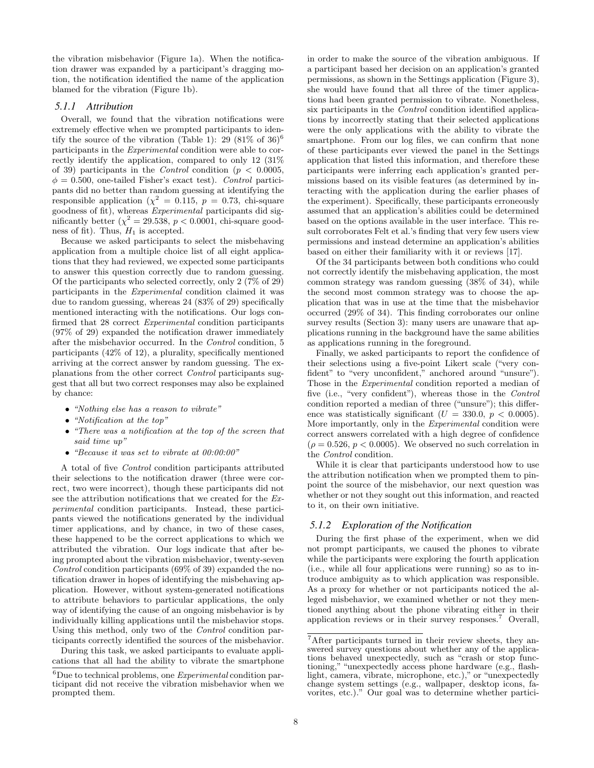the vibration misbehavior (Figure 1a). When the notification drawer was expanded by a participant's dragging motion, the notification identified the name of the application blamed for the vibration (Figure 1b).

#### *5.1.1 Attribution*

Overall, we found that the vibration notifications were extremely effective when we prompted participants to identify the source of the vibration (Table 1): 29  $(81\% \text{ of } 36)^6$ participants in the Experimental condition were able to correctly identify the application, compared to only 12 (31% of 39) participants in the *Control* condition ( $p < 0.0005$ ,  $\phi = 0.500$ , one-tailed Fisher's exact test). Control participants did no better than random guessing at identifying the responsible application ( $\chi^2 = 0.115$ ,  $p = 0.73$ , chi-square goodness of fit), whereas Experimental participants did significantly better ( $\chi^2 = 29.538$ ,  $p < 0.0001$ , chi-square goodness of fit). Thus,  $H_1$  is accepted.

Because we asked participants to select the misbehaving application from a multiple choice list of all eight applications that they had reviewed, we expected some participants to answer this question correctly due to random guessing. Of the participants who selected correctly, only 2 (7% of 29) participants in the Experimental condition claimed it was due to random guessing, whereas 24 (83% of 29) specifically mentioned interacting with the notifications. Our logs confirmed that 28 correct Experimental condition participants (97% of 29) expanded the notification drawer immediately after the misbehavior occurred. In the Control condition, 5 participants (42% of 12), a plurality, specifically mentioned arriving at the correct answer by random guessing. The explanations from the other correct Control participants suggest that all but two correct responses may also be explained by chance:

- "Nothing else has a reason to vibrate"
- "Notification at the top"
- "There was a notification at the top of the screen that said time up"
- "Because it was set to vibrate at 00:00:00"

A total of five Control condition participants attributed their selections to the notification drawer (three were correct, two were incorrect), though these participants did not see the attribution notifications that we created for the Experimental condition participants. Instead, these participants viewed the notifications generated by the individual timer applications, and by chance, in two of these cases, these happened to be the correct applications to which we attributed the vibration. Our logs indicate that after being prompted about the vibration misbehavior, twenty-seven Control condition participants (69% of 39) expanded the notification drawer in hopes of identifying the misbehaving application. However, without system-generated notifications to attribute behaviors to particular applications, the only way of identifying the cause of an ongoing misbehavior is by individually killing applications until the misbehavior stops. Using this method, only two of the Control condition participants correctly identified the sources of the misbehavior.

During this task, we asked participants to evaluate applications that all had the ability to vibrate the smartphone in order to make the source of the vibration ambiguous. If a participant based her decision on an application's granted permissions, as shown in the Settings application (Figure 3), she would have found that all three of the timer applications had been granted permission to vibrate. Nonetheless, six participants in the Control condition identified applications by incorrectly stating that their selected applications were the only applications with the ability to vibrate the smartphone. From our log files, we can confirm that none of these participants ever viewed the panel in the Settings application that listed this information, and therefore these participants were inferring each application's granted permissions based on its visible features (as determined by interacting with the application during the earlier phases of the experiment). Specifically, these participants erroneously assumed that an application's abilities could be determined based on the options available in the user interface. This result corroborates Felt et al.'s finding that very few users view permissions and instead determine an application's abilities based on either their familiarity with it or reviews [17].

Of the 34 participants between both conditions who could not correctly identify the misbehaving application, the most common strategy was random guessing (38% of 34), while the second most common strategy was to choose the application that was in use at the time that the misbehavior occurred (29% of 34). This finding corroborates our online survey results (Section 3): many users are unaware that applications running in the background have the same abilities as applications running in the foreground.

Finally, we asked participants to report the confidence of their selections using a five-point Likert scale ("very confident" to "very unconfident," anchored around "unsure"). Those in the Experimental condition reported a median of five (i.e., "very confident"), whereas those in the Control condition reported a median of three ("unsure"); this difference was statistically significant ( $U = 330.0, p < 0.0005$ ). More importantly, only in the Experimental condition were correct answers correlated with a high degree of confidence  $(\rho = 0.526, p < 0.0005)$ . We observed no such correlation in the Control condition.

While it is clear that participants understood how to use the attribution notification when we prompted them to pinpoint the source of the misbehavior, our next question was whether or not they sought out this information, and reacted to it, on their own initiative.

#### *5.1.2 Exploration of the Notification*

During the first phase of the experiment, when we did not prompt participants, we caused the phones to vibrate while the participants were exploring the fourth application (i.e., while all four applications were running) so as to introduce ambiguity as to which application was responsible. As a proxy for whether or not participants noticed the alleged misbehavior, we examined whether or not they mentioned anything about the phone vibrating either in their application reviews or in their survey responses.<sup>7</sup> Overall,

 ${}^{6}$ Due to technical problems, one *Experimental* condition participant did not receive the vibration misbehavior when we prompted them.

<sup>7</sup>After participants turned in their review sheets, they answered survey questions about whether any of the applications behaved unexpectedly, such as "crash or stop functioning," "unexpectedly access phone hardware (e.g., flashlight, camera, vibrate, microphone, etc.)," or "unexpectedly change system settings (e.g., wallpaper, desktop icons, favorites, etc.)." Our goal was to determine whether partici-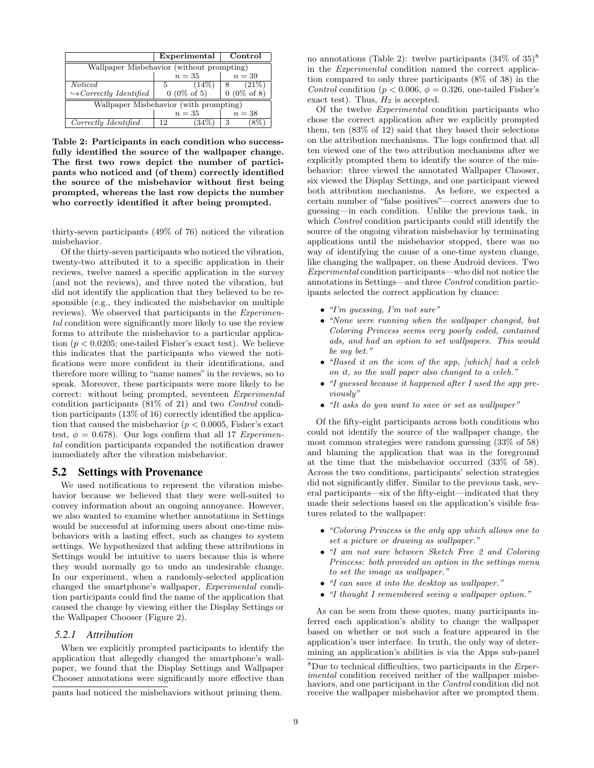|                                           | Experimental           | Control                |  |
|-------------------------------------------|------------------------|------------------------|--|
| Wallpaper Misbehavior (without prompting) |                        |                        |  |
|                                           | $n=35$                 | $n=39$                 |  |
| Noticed                                   | $(14\%)$<br>5          | (21%)<br>8             |  |
| $\hookrightarrow$ Correctly Identified    | $0(0\% \text{ of } 5)$ | $0(0\% \text{ of } 8)$ |  |
| Wallpaper Misbehavior (with prompting)    |                        |                        |  |
|                                           | $n=35$                 | $n = 38$               |  |
| Correctly Identified                      | 12<br>$34\%$           | 3                      |  |

Table 2: Participants in each condition who successfully identified the source of the wallpaper change. The first two rows depict the number of participants who noticed and (of them) correctly identified the source of the misbehavior without first being prompted, whereas the last row depicts the number who correctly identified it after being prompted.

thirty-seven participants (49% of 76) noticed the vibration misbehavior.

Of the thirty-seven participants who noticed the vibration, twenty-two attributed it to a specific application in their reviews, twelve named a specific application in the survey (and not the reviews), and three noted the vibration, but did not identify the application that they believed to be responsible (e.g., they indicated the misbehavior on multiple reviews). We observed that participants in the Experimental condition were significantly more likely to use the review forms to attribute the misbehavior to a particular application ( $p < 0.0205$ ; one-tailed Fisher's exact test). We believe this indicates that the participants who viewed the notifications were more confident in their identifications, and therefore more willing to "name names" in the reviews, so to speak. Moreover, these participants were more likely to be correct: without being prompted, seventeen Experimental condition participants (81% of 21) and two Control condition participants (13% of 16) correctly identified the application that caused the misbehavior ( $p < 0.0005$ , Fisher's exact test,  $\phi = 0.678$ . Our logs confirm that all 17 Experimental condition participants expanded the notification drawer immediately after the vibration misbehavior.

#### 5.2 Settings with Provenance

We used notifications to represent the vibration misbehavior because we believed that they were well-suited to convey information about an ongoing annoyance. However, we also wanted to examine whether annotations in Settings would be successful at informing users about one-time misbehaviors with a lasting effect, such as changes to system settings. We hypothesized that adding these attributions in Settings would be intuitive to users because this is where they would normally go to undo an undesirable change. In our experiment, when a randomly-selected application changed the smartphone's wallpaper, Experimental condition participants could find the name of the application that caused the change by viewing either the Display Settings or the Wallpaper Chooser (Figure 2).

#### *5.2.1 Attribution*

When we explicitly prompted participants to identify the application that allegedly changed the smartphone's wallpaper, we found that the Display Settings and Wallpaper Chooser annotations were significantly more effective than

pants had noticed the misbehaviors without priming them.

no annotations (Table 2): twelve participants  $(34\% \text{ of } 35)^8$ in the Experimental condition named the correct application compared to only three participants (8% of 38) in the Control condition ( $p < 0.006$ ,  $\phi = 0.326$ , one-tailed Fisher's exact test). Thus,  $H_2$  is accepted.

Of the twelve Experimental condition participants who chose the correct application after we explicitly prompted them, ten (83% of 12) said that they based their selections on the attribution mechanisms. The logs confirmed that all ten viewed one of the two attribution mechanisms after we explicitly prompted them to identify the source of the misbehavior: three viewed the annotated Wallpaper Chooser, six viewed the Display Settings, and one participant viewed both attribution mechanisms. As before, we expected a certain number of "false positives"—correct answers due to guessing—in each condition. Unlike the previous task, in which Control condition participants could still identify the source of the ongoing vibration misbehavior by terminating applications until the misbehavior stopped, there was no way of identifying the cause of a one-time system change, like changing the wallpaper, on these Android devices. Two Experimental condition participants—who did not notice the annotations in Settings—and three Control condition participants selected the correct application by chance:

- "I'm guessing, I'm not sure"
- "None were running when the wallpaper changed, but Coloring Princess seems very poorly coded, contained ads, and had an option to set wallpapers. This would be my bet."
- "Based it on the icon of the app, [which] had a celeb on it, so the wall paper also changed to a celeb."
- "I guessed because it happened after I used the app previously"
- "It asks do you want to save or set as wallpaper"

Of the fifty-eight participants across both conditions who could not identify the source of the wallpaper change, the most common strategies were random guessing (33% of 58) and blaming the application that was in the foreground at the time that the misbehavior occurred (33% of 58). Across the two conditions, participants' selection strategies did not significantly differ. Similar to the previous task, several participants—six of the fifty-eight—indicated that they made their selections based on the application's visible features related to the wallpaper:

- "Coloring Princess is the only app which allows one to set a picture or drawing as wallpaper."
- "I am not sure between Sketch Free 2 and Coloring Princess: both provided an option in the settings menu to set the image as wallpaper."
- "I can save it into the desktop as wallpaper."
- "I thought I remembered seeing a wallpaper option."

As can be seen from these quotes, many participants inferred each application's ability to change the wallpaper based on whether or not such a feature appeared in the application's user interface. In truth, the only way of determining an application's abilities is via the Apps sub-panel

 $8$ Due to technical difficulties, two participants in the *Exper*imental condition received neither of the wallpaper misbehaviors, and one participant in the Control condition did not receive the wallpaper misbehavior after we prompted them.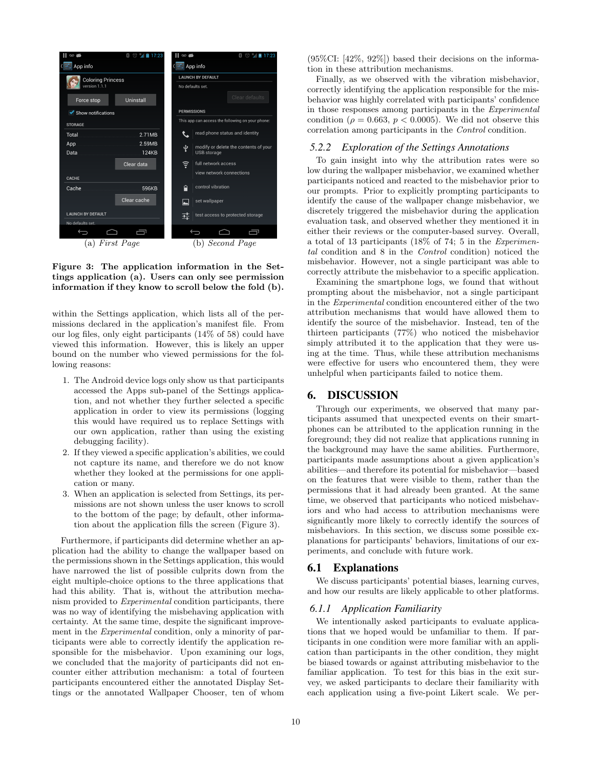

Figure 3: The application information in the Settings application (a). Users can only see permission information if they know to scroll below the fold (b).

within the Settings application, which lists all of the permissions declared in the application's manifest file. From our log files, only eight participants (14% of 58) could have viewed this information. However, this is likely an upper bound on the number who viewed permissions for the following reasons:

- 1. The Android device logs only show us that participants accessed the Apps sub-panel of the Settings application, and not whether they further selected a specific application in order to view its permissions (logging this would have required us to replace Settings with our own application, rather than using the existing debugging facility).
- 2. If they viewed a specific application's abilities, we could not capture its name, and therefore we do not know whether they looked at the permissions for one application or many.
- 3. When an application is selected from Settings, its permissions are not shown unless the user knows to scroll to the bottom of the page; by default, other information about the application fills the screen (Figure 3).

Furthermore, if participants did determine whether an application had the ability to change the wallpaper based on the permissions shown in the Settings application, this would have narrowed the list of possible culprits down from the eight multiple-choice options to the three applications that had this ability. That is, without the attribution mechanism provided to Experimental condition participants, there was no way of identifying the misbehaving application with certainty. At the same time, despite the significant improvement in the *Experimental* condition, only a minority of participants were able to correctly identify the application responsible for the misbehavior. Upon examining our logs, we concluded that the majority of participants did not encounter either attribution mechanism: a total of fourteen participants encountered either the annotated Display Settings or the annotated Wallpaper Chooser, ten of whom (95%CI: [42%, 92%]) based their decisions on the information in these attribution mechanisms.

Finally, as we observed with the vibration misbehavior, correctly identifying the application responsible for the misbehavior was highly correlated with participants' confidence in those responses among participants in the Experimental condition ( $\rho = 0.663$ ,  $p < 0.0005$ ). We did not observe this correlation among participants in the Control condition.

#### *5.2.2 Exploration of the Settings Annotations*

To gain insight into why the attribution rates were so low during the wallpaper misbehavior, we examined whether participants noticed and reacted to the misbehavior prior to our prompts. Prior to explicitly prompting participants to identify the cause of the wallpaper change misbehavior, we discretely triggered the misbehavior during the application evaluation task, and observed whether they mentioned it in either their reviews or the computer-based survey. Overall, a total of 13 participants (18% of 74; 5 in the Experimental condition and 8 in the Control condition) noticed the misbehavior. However, not a single participant was able to correctly attribute the misbehavior to a specific application.

Examining the smartphone logs, we found that without prompting about the misbehavior, not a single participant in the Experimental condition encountered either of the two attribution mechanisms that would have allowed them to identify the source of the misbehavior. Instead, ten of the thirteen participants (77%) who noticed the misbehavior simply attributed it to the application that they were using at the time. Thus, while these attribution mechanisms were effective for users who encountered them, they were unhelpful when participants failed to notice them.

## 6. DISCUSSION

Through our experiments, we observed that many participants assumed that unexpected events on their smartphones can be attributed to the application running in the foreground; they did not realize that applications running in the background may have the same abilities. Furthermore, participants made assumptions about a given application's abilities—and therefore its potential for misbehavior—based on the features that were visible to them, rather than the permissions that it had already been granted. At the same time, we observed that participants who noticed misbehaviors and who had access to attribution mechanisms were significantly more likely to correctly identify the sources of misbehaviors. In this section, we discuss some possible explanations for participants' behaviors, limitations of our experiments, and conclude with future work.

#### 6.1 Explanations

We discuss participants' potential biases, learning curves, and how our results are likely applicable to other platforms.

#### *6.1.1 Application Familiarity*

We intentionally asked participants to evaluate applications that we hoped would be unfamiliar to them. If participants in one condition were more familiar with an application than participants in the other condition, they might be biased towards or against attributing misbehavior to the familiar application. To test for this bias in the exit survey, we asked participants to declare their familiarity with each application using a five-point Likert scale. We per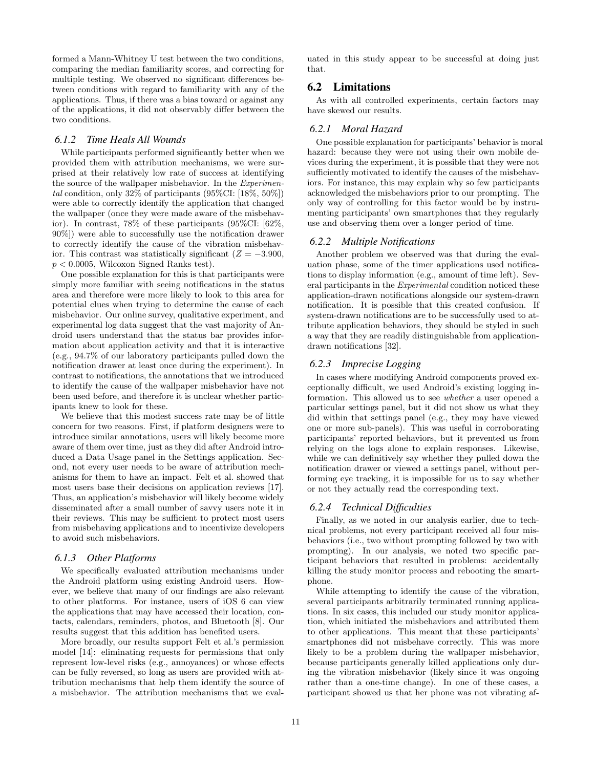formed a Mann-Whitney U test between the two conditions, comparing the median familiarity scores, and correcting for multiple testing. We observed no significant differences between conditions with regard to familiarity with any of the applications. Thus, if there was a bias toward or against any of the applications, it did not observably differ between the two conditions.

#### *6.1.2 Time Heals All Wounds*

While participants performed significantly better when we provided them with attribution mechanisms, we were surprised at their relatively low rate of success at identifying the source of the wallpaper misbehavior. In the Experimental condition, only 32\% of participants  $(95\%CI: [18\%, 50\%])$ were able to correctly identify the application that changed the wallpaper (once they were made aware of the misbehavior). In contrast, 78% of these participants (95%CI: [62%, 90%]) were able to successfully use the notification drawer to correctly identify the cause of the vibration misbehavior. This contrast was statistically significant ( $Z = -3.900$ ,  $p < 0.0005$ , Wilcoxon Signed Ranks test).

One possible explanation for this is that participants were simply more familiar with seeing notifications in the status area and therefore were more likely to look to this area for potential clues when trying to determine the cause of each misbehavior. Our online survey, qualitative experiment, and experimental log data suggest that the vast majority of Android users understand that the status bar provides information about application activity and that it is interactive (e.g., 94.7% of our laboratory participants pulled down the notification drawer at least once during the experiment). In contrast to notifications, the annotations that we introduced to identify the cause of the wallpaper misbehavior have not been used before, and therefore it is unclear whether participants knew to look for these.

We believe that this modest success rate may be of little concern for two reasons. First, if platform designers were to introduce similar annotations, users will likely become more aware of them over time, just as they did after Android introduced a Data Usage panel in the Settings application. Second, not every user needs to be aware of attribution mechanisms for them to have an impact. Felt et al. showed that most users base their decisions on application reviews [17]. Thus, an application's misbehavior will likely become widely disseminated after a small number of savvy users note it in their reviews. This may be sufficient to protect most users from misbehaving applications and to incentivize developers to avoid such misbehaviors.

#### *6.1.3 Other Platforms*

We specifically evaluated attribution mechanisms under the Android platform using existing Android users. However, we believe that many of our findings are also relevant to other platforms. For instance, users of iOS 6 can view the applications that may have accessed their location, contacts, calendars, reminders, photos, and Bluetooth [8]. Our results suggest that this addition has benefited users.

More broadly, our results support Felt et al.'s permission model [14]: eliminating requests for permissions that only represent low-level risks (e.g., annoyances) or whose effects can be fully reversed, so long as users are provided with attribution mechanisms that help them identify the source of a misbehavior. The attribution mechanisms that we evaluated in this study appear to be successful at doing just that.

## 6.2 Limitations

As with all controlled experiments, certain factors may have skewed our results.

#### *6.2.1 Moral Hazard*

One possible explanation for participants' behavior is moral hazard: because they were not using their own mobile devices during the experiment, it is possible that they were not sufficiently motivated to identify the causes of the misbehaviors. For instance, this may explain why so few participants acknowledged the misbehaviors prior to our prompting. The only way of controlling for this factor would be by instrumenting participants' own smartphones that they regularly use and observing them over a longer period of time.

#### *6.2.2 Multiple Notifications*

Another problem we observed was that during the evaluation phase, some of the timer applications used notifications to display information (e.g., amount of time left). Several participants in the Experimental condition noticed these application-drawn notifications alongside our system-drawn notification. It is possible that this created confusion. If system-drawn notifications are to be successfully used to attribute application behaviors, they should be styled in such a way that they are readily distinguishable from applicationdrawn notifications [32].

#### *6.2.3 Imprecise Logging*

In cases where modifying Android components proved exceptionally difficult, we used Android's existing logging information. This allowed us to see whether a user opened a particular settings panel, but it did not show us what they did within that settings panel (e.g., they may have viewed one or more sub-panels). This was useful in corroborating participants' reported behaviors, but it prevented us from relying on the logs alone to explain responses. Likewise, while we can definitively say whether they pulled down the notification drawer or viewed a settings panel, without performing eye tracking, it is impossible for us to say whether or not they actually read the corresponding text.

#### *6.2.4 Technical Difficulties*

Finally, as we noted in our analysis earlier, due to technical problems, not every participant received all four misbehaviors (i.e., two without prompting followed by two with prompting). In our analysis, we noted two specific participant behaviors that resulted in problems: accidentally killing the study monitor process and rebooting the smartphone.

While attempting to identify the cause of the vibration, several participants arbitrarily terminated running applications. In six cases, this included our study monitor application, which initiated the misbehaviors and attributed them to other applications. This meant that these participants' smartphones did not misbehave correctly. This was more likely to be a problem during the wallpaper misbehavior, because participants generally killed applications only during the vibration misbehavior (likely since it was ongoing rather than a one-time change). In one of these cases, a participant showed us that her phone was not vibrating af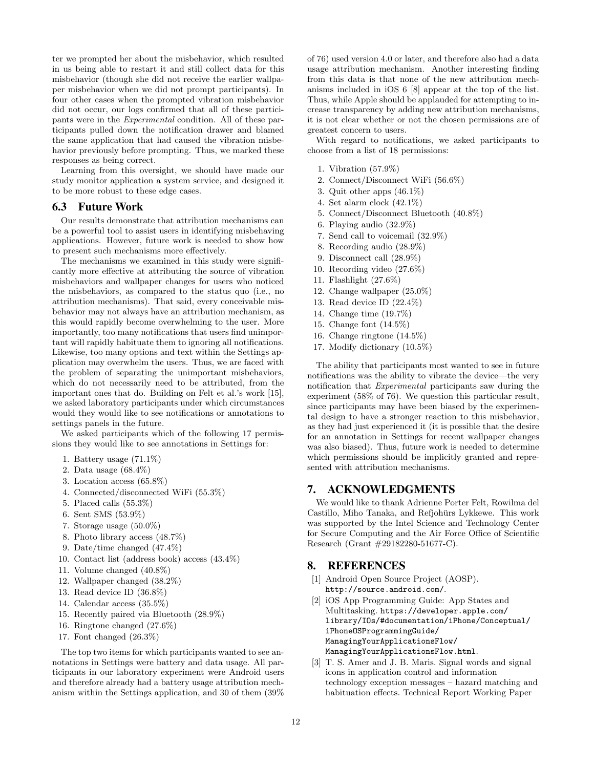ter we prompted her about the misbehavior, which resulted in us being able to restart it and still collect data for this misbehavior (though she did not receive the earlier wallpaper misbehavior when we did not prompt participants). In four other cases when the prompted vibration misbehavior did not occur, our logs confirmed that all of these participants were in the Experimental condition. All of these participants pulled down the notification drawer and blamed the same application that had caused the vibration misbehavior previously before prompting. Thus, we marked these responses as being correct.

Learning from this oversight, we should have made our study monitor application a system service, and designed it to be more robust to these edge cases.

### 6.3 Future Work

Our results demonstrate that attribution mechanisms can be a powerful tool to assist users in identifying misbehaving applications. However, future work is needed to show how to present such mechanisms more effectively.

The mechanisms we examined in this study were significantly more effective at attributing the source of vibration misbehaviors and wallpaper changes for users who noticed the misbehaviors, as compared to the status quo (i.e., no attribution mechanisms). That said, every conceivable misbehavior may not always have an attribution mechanism, as this would rapidly become overwhelming to the user. More importantly, too many notifications that users find unimportant will rapidly habituate them to ignoring all notifications. Likewise, too many options and text within the Settings application may overwhelm the users. Thus, we are faced with the problem of separating the unimportant misbehaviors, which do not necessarily need to be attributed, from the important ones that do. Building on Felt et al.'s work [15], we asked laboratory participants under which circumstances would they would like to see notifications or annotations to settings panels in the future.

We asked participants which of the following 17 permissions they would like to see annotations in Settings for:

- 1. Battery usage (71.1%)
- 2. Data usage (68.4%)
- 3. Location access (65.8%)
- 4. Connected/disconnected WiFi (55.3%)
- 5. Placed calls (55.3%)
- 6. Sent SMS (53.9%)
- 7. Storage usage (50.0%)
- 8. Photo library access (48.7%)
- 9. Date/time changed (47.4%)
- 10. Contact list (address book) access (43.4%)
- 11. Volume changed (40.8%)
- 12. Wallpaper changed (38.2%)
- 13. Read device ID (36.8%)
- 14. Calendar access (35.5%)
- 15. Recently paired via Bluetooth (28.9%)
- 16. Ringtone changed (27.6%)
- 17. Font changed (26.3%)

The top two items for which participants wanted to see annotations in Settings were battery and data usage. All participants in our laboratory experiment were Android users and therefore already had a battery usage attribution mechanism within the Settings application, and 30 of them (39% of 76) used version 4.0 or later, and therefore also had a data usage attribution mechanism. Another interesting finding from this data is that none of the new attribution mechanisms included in iOS 6 [8] appear at the top of the list. Thus, while Apple should be applauded for attempting to increase transparency by adding new attribution mechanisms, it is not clear whether or not the chosen permissions are of greatest concern to users.

With regard to notifications, we asked participants to choose from a list of 18 permissions:

- 1. Vibration (57.9%)
- 2. Connect/Disconnect WiFi (56.6%)
- 3. Quit other apps (46.1%)
- 4. Set alarm clock (42.1%)
- 5. Connect/Disconnect Bluetooth (40.8%)
- 6. Playing audio (32.9%)
- 7. Send call to voicemail (32.9%)
- 8. Recording audio (28.9%)
- 9. Disconnect call (28.9%)
- 10. Recording video (27.6%)
- 11. Flashlight (27.6%)
- 12. Change wallpaper (25.0%)
- 13. Read device ID (22.4%)
- 14. Change time (19.7%)
- 15. Change font (14.5%)
- 16. Change ringtone (14.5%)
- 17. Modify dictionary (10.5%)

The ability that participants most wanted to see in future notifications was the ability to vibrate the device—the very notification that Experimental participants saw during the experiment (58% of 76). We question this particular result, since participants may have been biased by the experimental design to have a stronger reaction to this misbehavior, as they had just experienced it (it is possible that the desire for an annotation in Settings for recent wallpaper changes was also biased). Thus, future work is needed to determine which permissions should be implicitly granted and represented with attribution mechanisms.

## 7. ACKNOWLEDGMENTS

We would like to thank Adrienne Porter Felt, Rowilma del Castillo, Miho Tanaka, and Refjohürs Lykkewe. This work was supported by the Intel Science and Technology Center for Secure Computing and the Air Force Office of Scientific Research (Grant #29182280-51677-C).

## 8. REFERENCES

- [1] Android Open Source Project (AOSP). http://source.android.com/.
- [2] iOS App Programming Guide: App States and Multitasking. https://developer.apple.com/ library/IOs/#documentation/iPhone/Conceptual/ iPhoneOSProgrammingGuide/ ManagingYourApplicationsFlow/ ManagingYourApplicationsFlow.html.
- [3] T. S. Amer and J. B. Maris. Signal words and signal icons in application control and information technology exception messages – hazard matching and habituation effects. Technical Report Working Paper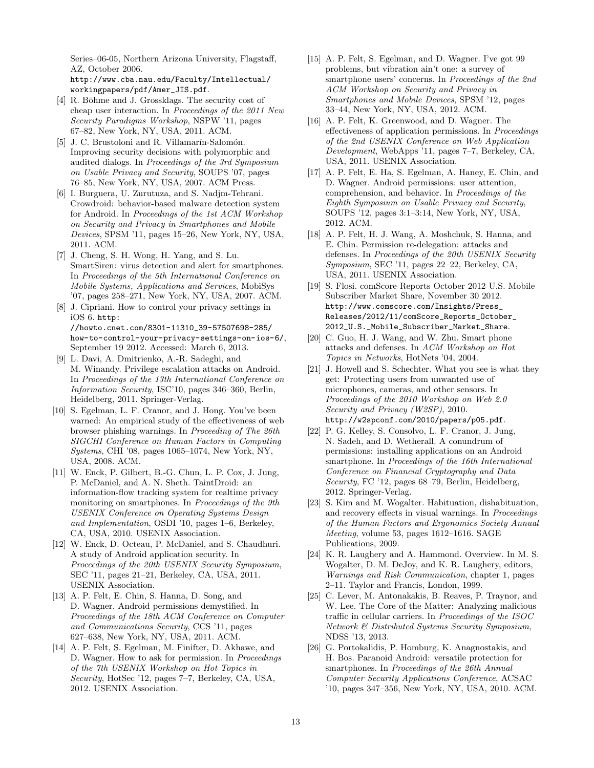Series–06-05, Northern Arizona University, Flagstaff, AZ, October 2006.

http://www.cba.nau.edu/Faculty/Intellectual/ workingpapers/pdf/Amer\_JIS.pdf.

- [4] R. Böhme and J. Grossklags. The security cost of cheap user interaction. In Proceedings of the 2011 New Security Paradigms Workshop, NSPW '11, pages 67–82, New York, NY, USA, 2011. ACM.
- [5] J. C. Brustoloni and R. Villamarín-Salomón. Improving security decisions with polymorphic and audited dialogs. In Proceedings of the 3rd Symposium on Usable Privacy and Security, SOUPS '07, pages 76–85, New York, NY, USA, 2007. ACM Press.
- [6] I. Burguera, U. Zurutuza, and S. Nadjm-Tehrani. Crowdroid: behavior-based malware detection system for Android. In Proceedings of the 1st ACM Workshop on Security and Privacy in Smartphones and Mobile Devices, SPSM '11, pages 15–26, New York, NY, USA, 2011. ACM.
- [7] J. Cheng, S. H. Wong, H. Yang, and S. Lu. SmartSiren: virus detection and alert for smartphones. In Proceedings of the 5th International Conference on Mobile Systems, Applications and Services, MobiSys '07, pages 258–271, New York, NY, USA, 2007. ACM.
- [8] J. Cipriani. How to control your privacy settings in iOS 6. http: //howto.cnet.com/8301-11310\_39-57507698-285/ how-to-control-your-privacy-settings-on-ios-6/, September 19 2012. Accessed: March 6, 2013.
- [9] L. Davi, A. Dmitrienko, A.-R. Sadeghi, and M. Winandy. Privilege escalation attacks on Android. In Proceedings of the 13th International Conference on Information Security, ISC'10, pages 346–360, Berlin, Heidelberg, 2011. Springer-Verlag.
- [10] S. Egelman, L. F. Cranor, and J. Hong. You've been warned: An empirical study of the effectiveness of web browser phishing warnings. In Proceeding of The 26th SIGCHI Conference on Human Factors in Computing Systems, CHI '08, pages 1065–1074, New York, NY, USA, 2008. ACM.
- [11] W. Enck, P. Gilbert, B.-G. Chun, L. P. Cox, J. Jung, P. McDaniel, and A. N. Sheth. TaintDroid: an information-flow tracking system for realtime privacy monitoring on smartphones. In Proceedings of the 9th USENIX Conference on Operating Systems Design and Implementation, OSDI '10, pages 1–6, Berkeley, CA, USA, 2010. USENIX Association.
- [12] W. Enck, D. Octeau, P. McDaniel, and S. Chaudhuri. A study of Android application security. In Proceedings of the 20th USENIX Security Symposium, SEC '11, pages 21–21, Berkeley, CA, USA, 2011. USENIX Association.
- [13] A. P. Felt, E. Chin, S. Hanna, D. Song, and D. Wagner. Android permissions demystified. In Proceedings of the 18th ACM Conference on Computer and Communications Security, CCS '11, pages 627–638, New York, NY, USA, 2011. ACM.
- [14] A. P. Felt, S. Egelman, M. Finifter, D. Akhawe, and D. Wagner. How to ask for permission. In Proceedings of the 7th USENIX Workshop on Hot Topics in Security, HotSec '12, pages 7–7, Berkeley, CA, USA, 2012. USENIX Association.
- [15] A. P. Felt, S. Egelman, and D. Wagner. I've got 99 problems, but vibration ain't one: a survey of smartphone users' concerns. In Proceedings of the 2nd ACM Workshop on Security and Privacy in Smartphones and Mobile Devices, SPSM '12, pages 33–44, New York, NY, USA, 2012. ACM.
- [16] A. P. Felt, K. Greenwood, and D. Wagner. The effectiveness of application permissions. In Proceedings of the 2nd USENIX Conference on Web Application Development, WebApps '11, pages 7–7, Berkeley, CA, USA, 2011. USENIX Association.
- [17] A. P. Felt, E. Ha, S. Egelman, A. Haney, E. Chin, and D. Wagner. Android permissions: user attention, comprehension, and behavior. In Proceedings of the Eighth Symposium on Usable Privacy and Security, SOUPS '12, pages 3:1–3:14, New York, NY, USA, 2012. ACM.
- [18] A. P. Felt, H. J. Wang, A. Moshchuk, S. Hanna, and E. Chin. Permission re-delegation: attacks and defenses. In Proceedings of the 20th USENIX Security Symposium, SEC '11, pages 22–22, Berkeley, CA, USA, 2011. USENIX Association.
- [19] S. Flosi. comScore Reports October 2012 U.S. Mobile Subscriber Market Share, November 30 2012. http://www.comscore.com/Insights/Press\_ Releases/2012/11/comScore\_Reports\_October\_ 2012\_U.S.\_Mobile\_Subscriber\_Market\_Share.
- [20] C. Guo, H. J. Wang, and W. Zhu. Smart phone attacks and defenses. In ACM Workshop on Hot Topics in Networks, HotNets '04, 2004.
- [21] J. Howell and S. Schechter. What you see is what they get: Protecting users from unwanted use of microphones, cameras, and other sensors. In Proceedings of the 2010 Workshop on Web 2.0 Security and Privacy (W2SP), 2010. http://w2spconf.com/2010/papers/p05.pdf.
- [22] P. G. Kelley, S. Consolvo, L. F. Cranor, J. Jung, N. Sadeh, and D. Wetherall. A conundrum of permissions: installing applications on an Android smartphone. In Proceedings of the 16th International Conference on Financial Cryptography and Data Security, FC '12, pages 68–79, Berlin, Heidelberg, 2012. Springer-Verlag.
- [23] S. Kim and M. Wogalter. Habituation, dishabituation, and recovery effects in visual warnings. In Proceedings of the Human Factors and Ergonomics Society Annual Meeting, volume 53, pages 1612–1616. SAGE Publications, 2009.
- [24] K. R. Laughery and A. Hammond. Overview. In M. S. Wogalter, D. M. DeJoy, and K. R. Laughery, editors, Warnings and Risk Communication, chapter 1, pages 2–11. Taylor and Francis, London, 1999.
- [25] C. Lever, M. Antonakakis, B. Reaves, P. Traynor, and W. Lee. The Core of the Matter: Analyzing malicious traffic in cellular carriers. In Proceedings of the ISOC Network & Distributed Systems Security Symposium, NDSS '13, 2013.
- [26] G. Portokalidis, P. Homburg, K. Anagnostakis, and H. Bos. Paranoid Android: versatile protection for smartphones. In Proceedings of the 26th Annual Computer Security Applications Conference, ACSAC '10, pages 347–356, New York, NY, USA, 2010. ACM.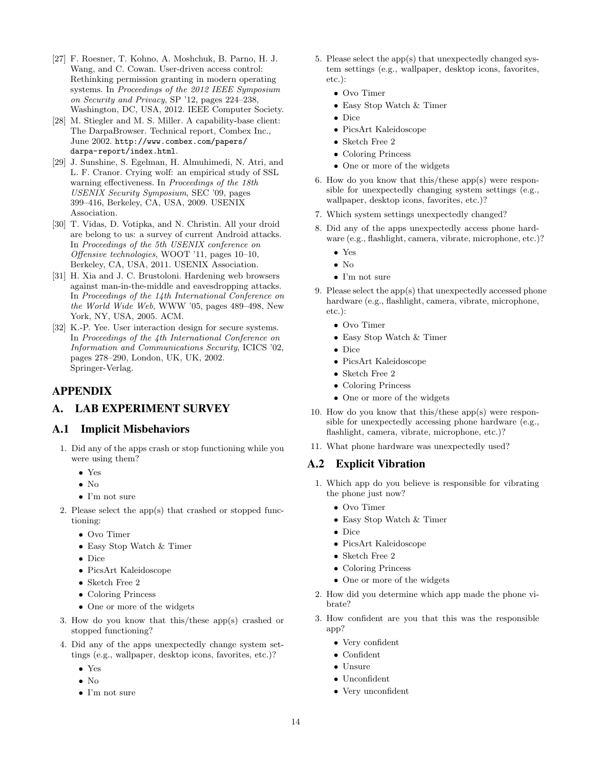- [27] F. Roesner, T. Kohno, A. Moshchuk, B. Parno, H. J. Wang, and C. Cowan. User-driven access control: Rethinking permission granting in modern operating systems. In Proceedings of the 2012 IEEE Symposium on Security and Privacy, SP '12, pages 224–238, Washington, DC, USA, 2012. IEEE Computer Society.
- [28] M. Stiegler and M. S. Miller. A capability-base client: The DarpaBrowser. Technical report, Combex Inc., June 2002. http://www.combex.com/papers/ darpa-report/index.html.
- [29] J. Sunshine, S. Egelman, H. Almuhimedi, N. Atri, and L. F. Cranor. Crying wolf: an empirical study of SSL warning effectiveness. In Proceedings of the 18th USENIX Security Symposium, SEC '09, pages 399–416, Berkeley, CA, USA, 2009. USENIX Association.
- [30] T. Vidas, D. Votipka, and N. Christin. All your droid are belong to us: a survey of current Android attacks. In Proceedings of the 5th USENIX conference on Offensive technologies, WOOT '11, pages 10–10, Berkeley, CA, USA, 2011. USENIX Association.
- [31] H. Xia and J. C. Brustoloni. Hardening web browsers against man-in-the-middle and eavesdropping attacks. In Proceedings of the 14th International Conference on the World Wide Web, WWW '05, pages 489–498, New York, NY, USA, 2005. ACM.
- [32] K.-P. Yee. User interaction design for secure systems. In Proceedings of the 4th International Conference on Information and Communications Security, ICICS '02, pages 278–290, London, UK, UK, 2002. Springer-Verlag.

## APPENDIX

# A. LAB EXPERIMENT SURVEY

#### A.1 Implicit Misbehaviors

- 1. Did any of the apps crash or stop functioning while you were using them?
	- Yes
	- No
	- I'm not sure
- 2. Please select the app(s) that crashed or stopped functioning:
	- Ovo Timer
	- Easy Stop Watch & Timer
	- Dice
	- PicsArt Kaleidoscope
	- Sketch Free 2
	- Coloring Princess
	- One or more of the widgets
- 3. How do you know that this/these app(s) crashed or stopped functioning?
- 4. Did any of the apps unexpectedly change system settings (e.g., wallpaper, desktop icons, favorites, etc.)?
	- Yes
	- No
	- I'm not sure
- 5. Please select the app(s) that unexpectedly changed system settings (e.g., wallpaper, desktop icons, favorites, etc.):
	- Ovo Timer
	- Easy Stop Watch & Timer
	- Dice
	- PicsArt Kaleidoscope
	- Sketch Free 2
	- Coloring Princess
	- One or more of the widgets
- 6. How do you know that this/these app(s) were responsible for unexpectedly changing system settings (e.g., wallpaper, desktop icons, favorites, etc.)?
- 7. Which system settings unexpectedly changed?
- 8. Did any of the apps unexpectedly access phone hardware (e.g., flashlight, camera, vibrate, microphone, etc.)?
	- Yes
	- No
	- I'm not sure
- 9. Please select the app(s) that unexpectedly accessed phone hardware (e.g., flashlight, camera, vibrate, microphone, etc.):
	- Ovo Timer
	- Easy Stop Watch & Timer
	- Dice
	- PicsArt Kaleidoscope
	- Sketch Free 2
	- Coloring Princess
	- One or more of the widgets
- 10. How do you know that this/these app(s) were responsible for unexpectedly accessing phone hardware (e.g., flashlight, camera, vibrate, microphone, etc.)?
- 11. What phone hardware was unexpectedly used?

## A.2 Explicit Vibration

- 1. Which app do you believe is responsible for vibrating the phone just now?
	- Ovo Timer
	- Easy Stop Watch & Timer
	- Dice
	- PicsArt Kaleidoscope
	- Sketch Free 2
	- Coloring Princess
	- One or more of the widgets
- 2. How did you determine which app made the phone vibrate?
- 3. How confident are you that this was the responsible app?
	- Very confident
	- Confident
	- Unsure
	- Unconfident
	- Very unconfident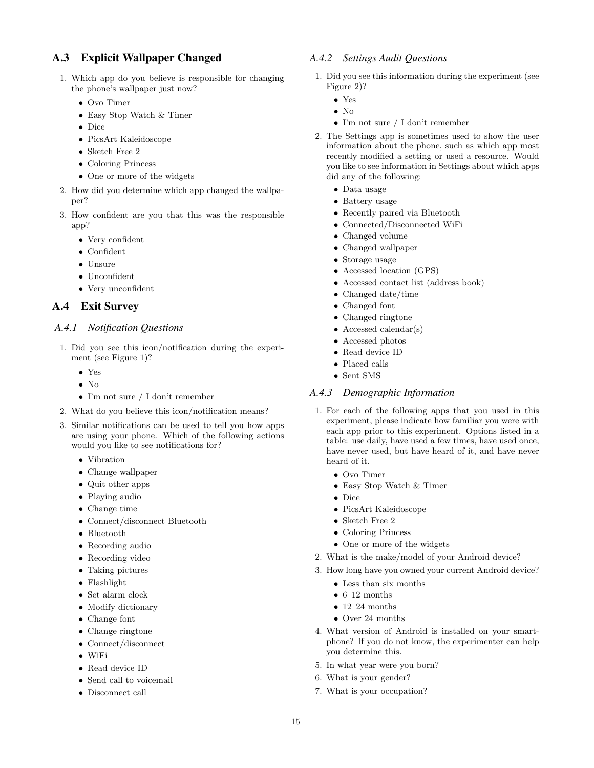# A.3 Explicit Wallpaper Changed

- 1. Which app do you believe is responsible for changing the phone's wallpaper just now?
	- Ovo Timer
	- Easy Stop Watch & Timer
	- Dice
	- PicsArt Kaleidoscope
	- Sketch Free 2
	- Coloring Princess
	- One or more of the widgets
- 2. How did you determine which app changed the wallpaper?
- 3. How confident are you that this was the responsible app?
	- Very confident
	- Confident
	- Unsure
	- Unconfident
	- Very unconfident

# A.4 Exit Survey

#### *A.4.1 Notification Questions*

- 1. Did you see this icon/notification during the experiment (see Figure 1)?
	- Yes
	- No
	- I'm not sure / I don't remember
- 2. What do you believe this icon/notification means?
- 3. Similar notifications can be used to tell you how apps are using your phone. Which of the following actions would you like to see notifications for?
	- Vibration
	- Change wallpaper
	- Quit other apps
	- Playing audio
	- Change time
	- Connect/disconnect Bluetooth
	- Bluetooth
	- Recording audio
	- Recording video
	- Taking pictures
	- Flashlight
	- Set alarm clock
	- Modify dictionary
	- Change font
	- Change ringtone
	- Connect/disconnect
	- WiFi
	- Read device ID
	- Send call to voicemail
	- Disconnect call

## *A.4.2 Settings Audit Questions*

- 1. Did you see this information during the experiment (see Figure 2)?
	- Yes
	- No
	- I'm not sure / I don't remember
- 2. The Settings app is sometimes used to show the user information about the phone, such as which app most recently modified a setting or used a resource. Would you like to see information in Settings about which apps did any of the following:
	- Data usage
	- Battery usage
	- Recently paired via Bluetooth
	- Connected/Disconnected WiFi
	- Changed volume
	- Changed wallpaper
	- Storage usage
	- Accessed location (GPS)
	- Accessed contact list (address book)
	- Changed date/time
	- Changed font
	- Changed ringtone
	- Accessed calendar(s)
	- Accessed photos
	- Read device ID
	- Placed calls
	- Sent SMS

#### *A.4.3 Demographic Information*

- 1. For each of the following apps that you used in this experiment, please indicate how familiar you were with each app prior to this experiment. Options listed in a table: use daily, have used a few times, have used once, have never used, but have heard of it, and have never heard of it.
	- Ovo Timer
	- Easy Stop Watch & Timer
	- Dice
	- PicsArt Kaleidoscope
	- Sketch Free 2
	- Coloring Princess
	- One or more of the widgets
- 2. What is the make/model of your Android device?
- 3. How long have you owned your current Android device?
	- Less than six months
	- $\bullet$  6–12 months
	- $\bullet$  12–24 months
	- Over 24 months
- 4. What version of Android is installed on your smartphone? If you do not know, the experimenter can help you determine this.
- 5. In what year were you born?
- 6. What is your gender?
- 7. What is your occupation?